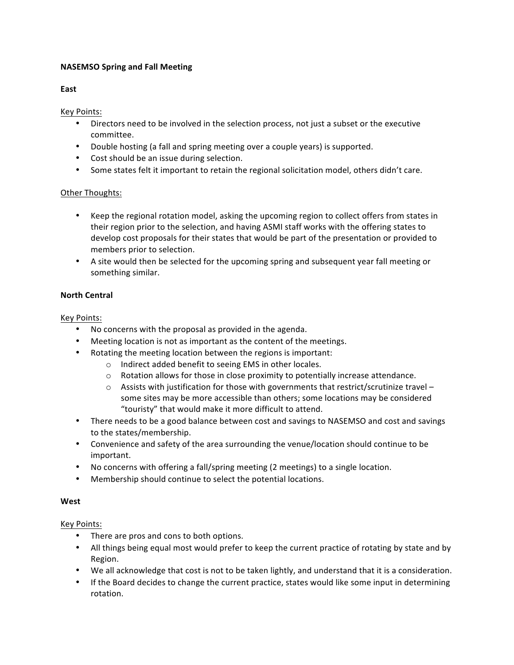# **NASEMSO Spring and Fall Meeting**

## **East**

Key Points:

- Directors need to be involved in the selection process, not just a subset or the executive committee.
- Double hosting (a fall and spring meeting over a couple years) is supported.
- Cost should be an issue during selection.
- Some states felt it important to retain the regional solicitation model, others didn't care.

# Other Thoughts:

- Keep the regional rotation model, asking the upcoming region to collect offers from states in their region prior to the selection, and having ASMI staff works with the offering states to develop cost proposals for their states that would be part of the presentation or provided to members prior to selection.
- A site would then be selected for the upcoming spring and subsequent year fall meeting or something similar.

## **North Central**

Key Points:

- No concerns with the proposal as provided in the agenda.
- Meeting location is not as important as the content of the meetings.
- Rotating the meeting location between the regions is important:
	- o Indirect added benefit to seeing EMS in other locales.
	- $\circ$  Rotation allows for those in close proximity to potentially increase attendance.
	- $\circ$  Assists with justification for those with governments that restrict/scrutinize travel some sites may be more accessible than others; some locations may be considered "touristy" that would make it more difficult to attend.
- There needs to be a good balance between cost and savings to NASEMSO and cost and savings to the states/membership.
- Convenience and safety of the area surrounding the venue/location should continue to be important.
- No concerns with offering a fall/spring meeting (2 meetings) to a single location.
- Membership should continue to select the potential locations.

# **West**

Key Points:

- There are pros and cons to both options.
- All things being equal most would prefer to keep the current practice of rotating by state and by Region.
- We all acknowledge that cost is not to be taken lightly, and understand that it is a consideration.
- If the Board decides to change the current practice, states would like some input in determining rotation.